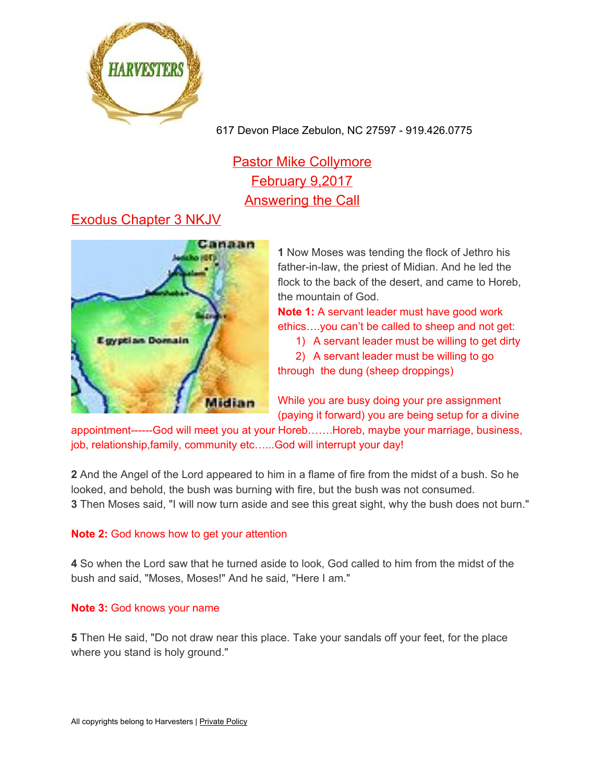

617 Devon Place Zebulon, NC 27597 - 919.426.0775

# **Pastor Mike Collymore** February 9,2017 Answering the Call

# Exodus Chapter 3 NKJV



**1** Now Moses was tending the flock of Jethro his father-in-law, the priest of Midian. And he led the flock to the back of the desert, and came to Horeb, the mountain of God.

**Note 1:** A servant leader must have good work ethics….you can't be called to sheep and not get:

1) A servant leader must be willing to get dirty

2) A servant leader must be willing to go

through the dung (sheep droppings)

While you are busy doing your pre assignment (paying it forward) you are being setup for a divine

appointment------God will meet you at your Horeb…….Horeb, maybe your marriage, business, job, relationship,family, community etc......God will interrupt your day!

**2** And the Angel of the Lord appeared to him in a flame of fire from the midst of a bush. So he looked, and behold, the bush was burning with fire, but the bush was not consumed. **3** Then Moses said, "I will now turn aside and see this great sight, why the bush does not burn."

#### **Note 2:** God knows how to get your attention

**4** So when the Lord saw that he turned aside to look, God called to him from the midst of the bush and said, "Moses, Moses!" And he said, "Here I am."

#### **Note 3:** God knows your name

**5** Then He said, "Do not draw near this place. Take your sandals off your feet, for the place where you stand is holy ground."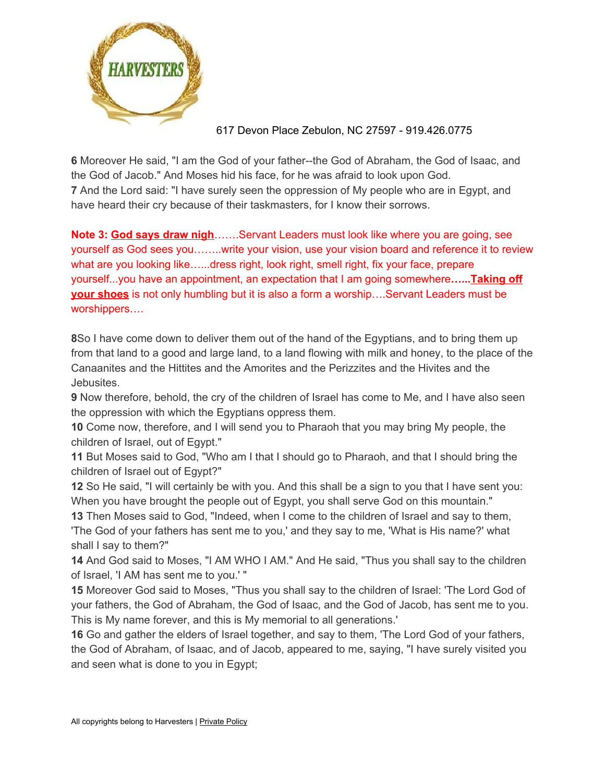

### 617 Devon Place Zebulon, NC 27597 - 919.426.0775

**6** Moreover He said, "I am the God of your father--the God of Abraham, the God of Isaac, and the God of Jacob." And Moses hid his face, for he was afraid to look upon God. **7** And the Lord said: "I have surely seen the oppression of My people who are in Egypt, and have heard their cry because of their taskmasters, for I know their sorrows.

**Note 3: God says draw nigh**…….Servant Leaders must look like where you are going, see yourself as God sees you……..write your vision, use your vision board and reference it to review what are you looking like…...dress right, look right, smell right, fix your face, prepare yourself...you have an appointment, an expectation that I am going somewhere**…...Taking off your shoes** is not only humbling but it is also a form a worship….Servant Leaders must be worshippers….

**8**So I have come down to deliver them out of the hand of the Egyptians, and to bring them up from that land to a good and large land, to a land flowing with milk and honey, to the place of the Canaanites and the Hittites and the Amorites and the Perizzites and the Hivites and the Jebusites.

**9** Now therefore, behold, the cry of the children of Israel has come to Me, and I have also seen the oppression with which the Egyptians oppress them.

**10** Come now, therefore, and I will send you to Pharaoh that you may bring My people, the children of Israel, out of Egypt."

**11** But Moses said to God, "Who am I that I should go to Pharaoh, and that I should bring the children of Israel out of Egypt?"

**12** So He said, "I will certainly be with you. And this shall be a sign to you that I have sent you: When you have brought the people out of Egypt, you shall serve God on this mountain."

**13** Then Moses said to God, "Indeed, when I come to the children of Israel and say to them, 'The God of your fathers has sent me to you,' and they say to me, 'What is His name?' what shall I say to them?"

**14** And God said to Moses, "I AM WHO I AM." And He said, "Thus you shall say to the children of Israel, 'I AM has sent me to you.' "

**15** Moreover God said to Moses, "Thus you shall say to the children of Israel: 'The Lord God of your fathers, the God of Abraham, the God of Isaac, and the God of Jacob, has sent me to you. This is My name forever, and this is My memorial to all generations.'

**16** Go and gather the elders of Israel together, and say to them, 'The Lord God of your fathers, the God of Abraham, of Isaac, and of Jacob, appeared to me, saying, "I have surely visited you and seen what is done to you in Egypt;